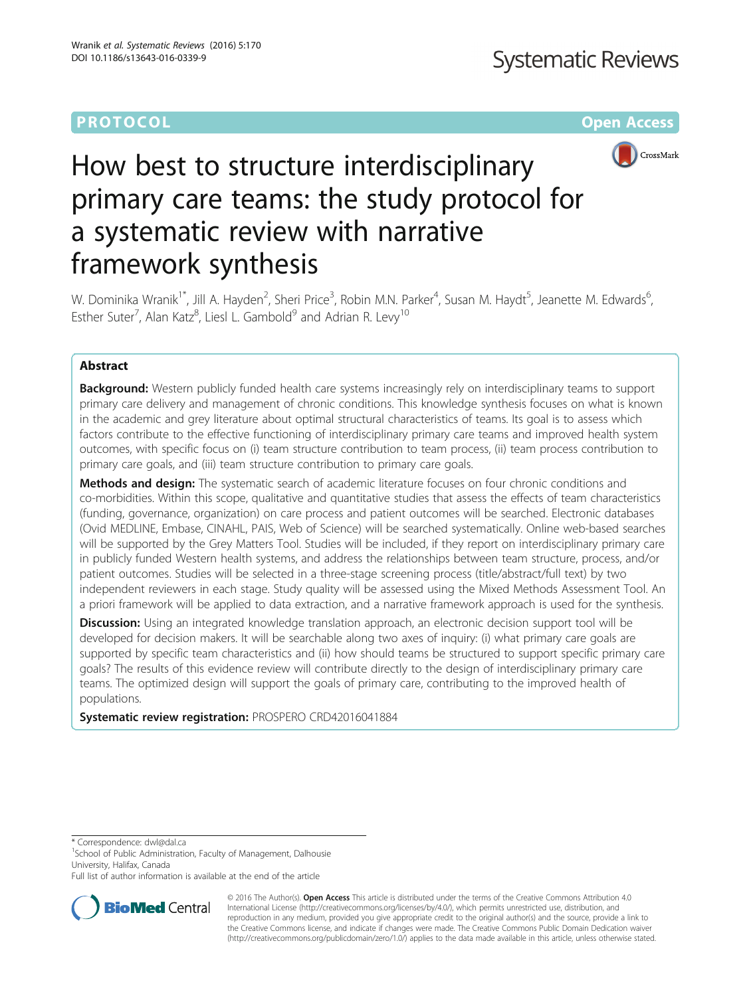# **PROTOCOL CONSUMING THE CONSUMING TEACHER CONSUMING THE CONSUMING TEACHER CONSUMING THE CONSUMING TEACHER CONSUMING**



# How best to structure interdisciplinary primary care teams: the study protocol for a systematic review with narrative framework synthesis

W. Dominika Wranik<sup>1\*</sup>, Jill A. Hayden<sup>2</sup>, Sheri Price<sup>3</sup>, Robin M.N. Parker<sup>4</sup>, Susan M. Haydt<sup>5</sup>, Jeanette M. Edwards<sup>6</sup> י<br>, Esther Suter<sup>7</sup>, Alan Katz<sup>8</sup>, Liesl L. Gambold<sup>9</sup> and Adrian R. Levy<sup>10</sup>

### Abstract

**Background:** Western publicly funded health care systems increasingly rely on interdisciplinary teams to support primary care delivery and management of chronic conditions. This knowledge synthesis focuses on what is known in the academic and grey literature about optimal structural characteristics of teams. Its goal is to assess which factors contribute to the effective functioning of interdisciplinary primary care teams and improved health system outcomes, with specific focus on (i) team structure contribution to team process, (ii) team process contribution to primary care goals, and (iii) team structure contribution to primary care goals.

**Methods and design:** The systematic search of academic literature focuses on four chronic conditions and co-morbidities. Within this scope, qualitative and quantitative studies that assess the effects of team characteristics (funding, governance, organization) on care process and patient outcomes will be searched. Electronic databases (Ovid MEDLINE, Embase, CINAHL, PAIS, Web of Science) will be searched systematically. Online web-based searches will be supported by the Grey Matters Tool. Studies will be included, if they report on interdisciplinary primary care in publicly funded Western health systems, and address the relationships between team structure, process, and/or patient outcomes. Studies will be selected in a three-stage screening process (title/abstract/full text) by two independent reviewers in each stage. Study quality will be assessed using the Mixed Methods Assessment Tool. An a priori framework will be applied to data extraction, and a narrative framework approach is used for the synthesis.

Discussion: Using an integrated knowledge translation approach, an electronic decision support tool will be developed for decision makers. It will be searchable along two axes of inquiry: (i) what primary care goals are supported by specific team characteristics and (ii) how should teams be structured to support specific primary care goals? The results of this evidence review will contribute directly to the design of interdisciplinary primary care teams. The optimized design will support the goals of primary care, contributing to the improved health of populations.

Systematic review registration: PROSPERO [CRD42016041884](http://www.crd.york.ac.uk/PROSPERO/display_record.asp?ID=CRD42016041884)

\* Correspondence: [dwl@dal.ca](mailto:dwl@dal.ca) <sup>1</sup>

<sup>1</sup>School of Public Administration, Faculty of Management, Dalhousie University, Halifax, Canada

Full list of author information is available at the end of the article



© 2016 The Author(s). Open Access This article is distributed under the terms of the Creative Commons Attribution 4.0 International License [\(http://creativecommons.org/licenses/by/4.0/](http://creativecommons.org/licenses/by/4.0/)), which permits unrestricted use, distribution, and reproduction in any medium, provided you give appropriate credit to the original author(s) and the source, provide a link to the Creative Commons license, and indicate if changes were made. The Creative Commons Public Domain Dedication waiver [\(http://creativecommons.org/publicdomain/zero/1.0/](http://creativecommons.org/publicdomain/zero/1.0/)) applies to the data made available in this article, unless otherwise stated.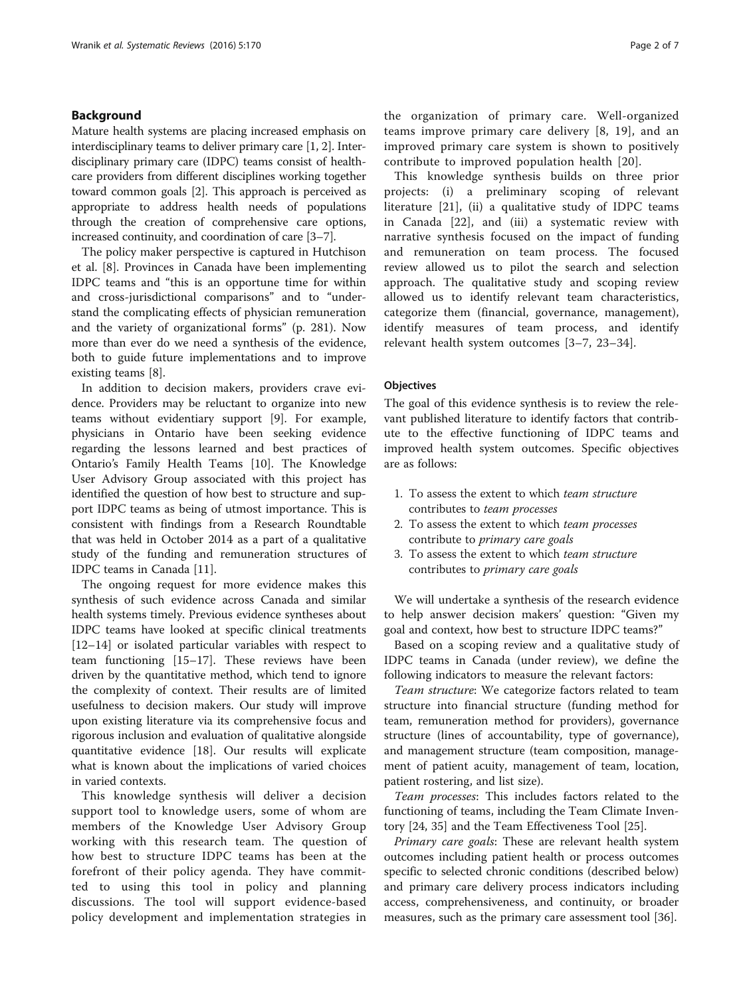#### Background

Mature health systems are placing increased emphasis on interdisciplinary teams to deliver primary care [[1, 2](#page-5-0)]. Interdisciplinary primary care (IDPC) teams consist of healthcare providers from different disciplines working together toward common goals [[2\]](#page-5-0). This approach is perceived as appropriate to address health needs of populations through the creation of comprehensive care options, increased continuity, and coordination of care [\[3](#page-5-0)–[7](#page-5-0)].

The policy maker perspective is captured in Hutchison et al. [\[8](#page-5-0)]. Provinces in Canada have been implementing IDPC teams and "this is an opportune time for within and cross-jurisdictional comparisons" and to "understand the complicating effects of physician remuneration and the variety of organizational forms" (p. 281). Now more than ever do we need a synthesis of the evidence, both to guide future implementations and to improve existing teams [\[8\]](#page-5-0).

In addition to decision makers, providers crave evidence. Providers may be reluctant to organize into new teams without evidentiary support [\[9](#page-5-0)]. For example, physicians in Ontario have been seeking evidence regarding the lessons learned and best practices of Ontario's Family Health Teams [\[10\]](#page-5-0). The Knowledge User Advisory Group associated with this project has identified the question of how best to structure and support IDPC teams as being of utmost importance. This is consistent with findings from a Research Roundtable that was held in October 2014 as a part of a qualitative study of the funding and remuneration structures of IDPC teams in Canada [[11\]](#page-5-0).

The ongoing request for more evidence makes this synthesis of such evidence across Canada and similar health systems timely. Previous evidence syntheses about IDPC teams have looked at specific clinical treatments [[12](#page-5-0)–[14](#page-5-0)] or isolated particular variables with respect to team functioning [\[15](#page-5-0)–[17\]](#page-6-0). These reviews have been driven by the quantitative method, which tend to ignore the complexity of context. Their results are of limited usefulness to decision makers. Our study will improve upon existing literature via its comprehensive focus and rigorous inclusion and evaluation of qualitative alongside quantitative evidence [\[18\]](#page-6-0). Our results will explicate what is known about the implications of varied choices in varied contexts.

This knowledge synthesis will deliver a decision support tool to knowledge users, some of whom are members of the Knowledge User Advisory Group working with this research team. The question of how best to structure IDPC teams has been at the forefront of their policy agenda. They have committed to using this tool in policy and planning discussions. The tool will support evidence-based policy development and implementation strategies in

the organization of primary care. Well-organized teams improve primary care delivery [[8,](#page-5-0) [19\]](#page-6-0), and an improved primary care system is shown to positively contribute to improved population health [\[20](#page-6-0)].

This knowledge synthesis builds on three prior projects: (i) a preliminary scoping of relevant literature [\[21](#page-6-0)], (ii) a qualitative study of IDPC teams in Canada [\[22](#page-6-0)], and (iii) a systematic review with narrative synthesis focused on the impact of funding and remuneration on team process. The focused review allowed us to pilot the search and selection approach. The qualitative study and scoping review allowed us to identify relevant team characteristics, categorize them (financial, governance, management), identify measures of team process, and identify relevant health system outcomes [\[3](#page-5-0)–[7](#page-5-0), [23](#page-6-0)–[34](#page-6-0)].

#### **Objectives**

The goal of this evidence synthesis is to review the relevant published literature to identify factors that contribute to the effective functioning of IDPC teams and improved health system outcomes. Specific objectives are as follows:

- 1. To assess the extent to which team structure contributes to team processes
- 2. To assess the extent to which team processes contribute to primary care goals
- 3. To assess the extent to which team structure contributes to primary care goals

We will undertake a synthesis of the research evidence to help answer decision makers' question: "Given my goal and context, how best to structure IDPC teams?"

Based on a scoping review and a qualitative study of IDPC teams in Canada (under review), we define the following indicators to measure the relevant factors:

Team structure: We categorize factors related to team structure into financial structure (funding method for team, remuneration method for providers), governance structure (lines of accountability, type of governance), and management structure (team composition, management of patient acuity, management of team, location, patient rostering, and list size).

Team processes: This includes factors related to the functioning of teams, including the Team Climate Inventory [\[24](#page-6-0), [35\]](#page-6-0) and the Team Effectiveness Tool [[25\]](#page-6-0).

Primary care goals: These are relevant health system outcomes including patient health or process outcomes specific to selected chronic conditions (described below) and primary care delivery process indicators including access, comprehensiveness, and continuity, or broader measures, such as the primary care assessment tool [[36\]](#page-6-0).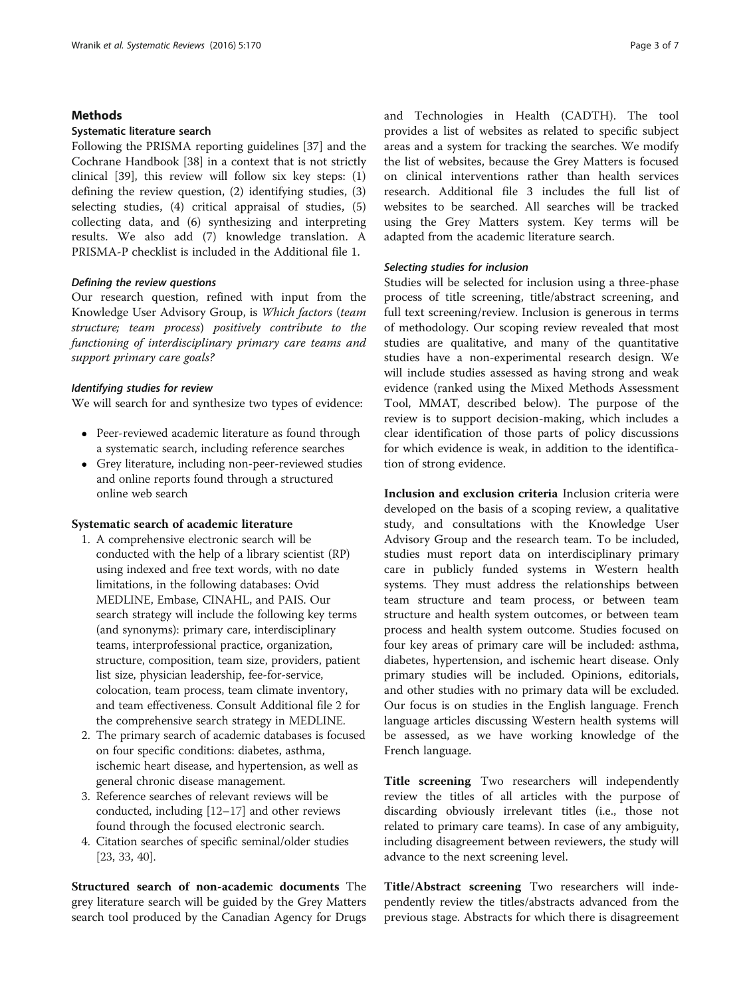#### Methods

#### Systematic literature search

Following the PRISMA reporting guidelines [\[37](#page-6-0)] and the Cochrane Handbook [\[38](#page-6-0)] in a context that is not strictly clinical [[39\]](#page-6-0), this review will follow six key steps: (1) defining the review question, (2) identifying studies, (3) selecting studies, (4) critical appraisal of studies, (5) collecting data, and (6) synthesizing and interpreting results. We also add (7) knowledge translation. A PRISMA-P checklist is included in the Additional file [1.](#page-5-0)

#### Defining the review questions

Our research question, refined with input from the Knowledge User Advisory Group, is Which factors (team structure; team process) positively contribute to the functioning of interdisciplinary primary care teams and support primary care goals?

#### Identifying studies for review

We will search for and synthesize two types of evidence:

- Peer-reviewed academic literature as found through a systematic search, including reference searches
- Grey literature, including non-peer-reviewed studies and online reports found through a structured online web search

#### Systematic search of academic literature

- 1. A comprehensive electronic search will be conducted with the help of a library scientist (RP) using indexed and free text words, with no date limitations, in the following databases: Ovid MEDLINE, Embase, CINAHL, and PAIS. Our search strategy will include the following key terms (and synonyms): primary care, interdisciplinary teams, interprofessional practice, organization, structure, composition, team size, providers, patient list size, physician leadership, fee-for-service, colocation, team process, team climate inventory, and team effectiveness. Consult Additional file [2](#page-5-0) for the comprehensive search strategy in MEDLINE.
- 2. The primary search of academic databases is focused on four specific conditions: diabetes, asthma, ischemic heart disease, and hypertension, as well as general chronic disease management.
- 3. Reference searches of relevant reviews will be conducted, including [[12](#page-5-0)–[17](#page-6-0)] and other reviews found through the focused electronic search.
- 4. Citation searches of specific seminal/older studies [\[23](#page-6-0), [33,](#page-6-0) [40](#page-6-0)].

Structured search of non-academic documents The grey literature search will be guided by the Grey Matters search tool produced by the Canadian Agency for Drugs and Technologies in Health (CADTH). The tool provides a list of websites as related to specific subject areas and a system for tracking the searches. We modify the list of websites, because the Grey Matters is focused on clinical interventions rather than health services research. Additional file [3](#page-5-0) includes the full list of websites to be searched. All searches will be tracked using the Grey Matters system. Key terms will be adapted from the academic literature search.

#### Selecting studies for inclusion

Studies will be selected for inclusion using a three-phase process of title screening, title/abstract screening, and full text screening/review. Inclusion is generous in terms of methodology. Our scoping review revealed that most studies are qualitative, and many of the quantitative studies have a non-experimental research design. We will include studies assessed as having strong and weak evidence (ranked using the Mixed Methods Assessment Tool, MMAT, described below). The purpose of the review is to support decision-making, which includes a clear identification of those parts of policy discussions for which evidence is weak, in addition to the identification of strong evidence.

Inclusion and exclusion criteria Inclusion criteria were developed on the basis of a scoping review, a qualitative study, and consultations with the Knowledge User Advisory Group and the research team. To be included, studies must report data on interdisciplinary primary care in publicly funded systems in Western health systems. They must address the relationships between team structure and team process, or between team structure and health system outcomes, or between team process and health system outcome. Studies focused on four key areas of primary care will be included: asthma, diabetes, hypertension, and ischemic heart disease. Only primary studies will be included. Opinions, editorials, and other studies with no primary data will be excluded. Our focus is on studies in the English language. French language articles discussing Western health systems will be assessed, as we have working knowledge of the French language.

Title screening Two researchers will independently review the titles of all articles with the purpose of discarding obviously irrelevant titles (i.e., those not related to primary care teams). In case of any ambiguity, including disagreement between reviewers, the study will advance to the next screening level.

Title/Abstract screening Two researchers will independently review the titles/abstracts advanced from the previous stage. Abstracts for which there is disagreement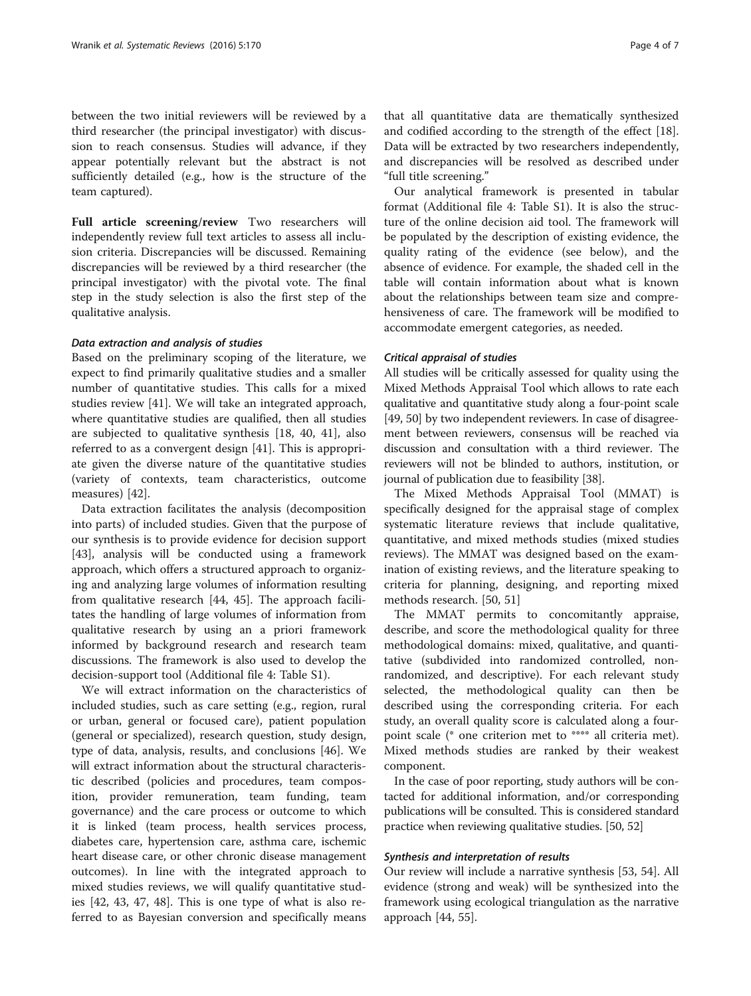between the two initial reviewers will be reviewed by a third researcher (the principal investigator) with discussion to reach consensus. Studies will advance, if they appear potentially relevant but the abstract is not sufficiently detailed (e.g., how is the structure of the team captured).

Full article screening/review Two researchers will independently review full text articles to assess all inclusion criteria. Discrepancies will be discussed. Remaining discrepancies will be reviewed by a third researcher (the principal investigator) with the pivotal vote. The final step in the study selection is also the first step of the qualitative analysis.

#### Data extraction and analysis of studies

Based on the preliminary scoping of the literature, we expect to find primarily qualitative studies and a smaller number of quantitative studies. This calls for a mixed studies review [[41](#page-6-0)]. We will take an integrated approach, where quantitative studies are qualified, then all studies are subjected to qualitative synthesis [\[18](#page-6-0), [40, 41\]](#page-6-0), also referred to as a convergent design [[41\]](#page-6-0). This is appropriate given the diverse nature of the quantitative studies (variety of contexts, team characteristics, outcome measures) [\[42\]](#page-6-0).

Data extraction facilitates the analysis (decomposition into parts) of included studies. Given that the purpose of our synthesis is to provide evidence for decision support [[43\]](#page-6-0), analysis will be conducted using a framework approach, which offers a structured approach to organizing and analyzing large volumes of information resulting from qualitative research [\[44, 45](#page-6-0)]. The approach facilitates the handling of large volumes of information from qualitative research by using an a priori framework informed by background research and research team discussions. The framework is also used to develop the decision-support tool (Additional file [4:](#page-5-0) Table S1).

We will extract information on the characteristics of included studies, such as care setting (e.g., region, rural or urban, general or focused care), patient population (general or specialized), research question, study design, type of data, analysis, results, and conclusions [\[46](#page-6-0)]. We will extract information about the structural characteristic described (policies and procedures, team composition, provider remuneration, team funding, team governance) and the care process or outcome to which it is linked (team process, health services process, diabetes care, hypertension care, asthma care, ischemic heart disease care, or other chronic disease management outcomes). In line with the integrated approach to mixed studies reviews, we will qualify quantitative studies [\[42](#page-6-0), [43](#page-6-0), [47](#page-6-0), [48\]](#page-6-0). This is one type of what is also referred to as Bayesian conversion and specifically means

that all quantitative data are thematically synthesized and codified according to the strength of the effect [\[18](#page-6-0)]. Data will be extracted by two researchers independently, and discrepancies will be resolved as described under "full title screening."

Our analytical framework is presented in tabular format (Additional file [4](#page-5-0): Table S1). It is also the structure of the online decision aid tool. The framework will be populated by the description of existing evidence, the quality rating of the evidence (see below), and the absence of evidence. For example, the shaded cell in the table will contain information about what is known about the relationships between team size and comprehensiveness of care. The framework will be modified to accommodate emergent categories, as needed.

#### Critical appraisal of studies

All studies will be critically assessed for quality using the Mixed Methods Appraisal Tool which allows to rate each qualitative and quantitative study along a four-point scale [[49](#page-6-0), [50\]](#page-6-0) by two independent reviewers. In case of disagreement between reviewers, consensus will be reached via discussion and consultation with a third reviewer. The reviewers will not be blinded to authors, institution, or journal of publication due to feasibility [[38](#page-6-0)].

The Mixed Methods Appraisal Tool (MMAT) is specifically designed for the appraisal stage of complex systematic literature reviews that include qualitative, quantitative, and mixed methods studies (mixed studies reviews). The MMAT was designed based on the examination of existing reviews, and the literature speaking to criteria for planning, designing, and reporting mixed methods research. [\[50, 51\]](#page-6-0)

The MMAT permits to concomitantly appraise, describe, and score the methodological quality for three methodological domains: mixed, qualitative, and quantitative (subdivided into randomized controlled, nonrandomized, and descriptive). For each relevant study selected, the methodological quality can then be described using the corresponding criteria. For each study, an overall quality score is calculated along a fourpoint scale (\* one criterion met to \*\*\*\* all criteria met). Mixed methods studies are ranked by their weakest component.

In the case of poor reporting, study authors will be contacted for additional information, and/or corresponding publications will be consulted. This is considered standard practice when reviewing qualitative studies. [\[50](#page-6-0), [52](#page-6-0)]

#### Synthesis and interpretation of results

Our review will include a narrative synthesis [\[53](#page-6-0), [54](#page-6-0)]. All evidence (strong and weak) will be synthesized into the framework using ecological triangulation as the narrative approach [[44](#page-6-0), [55](#page-6-0)].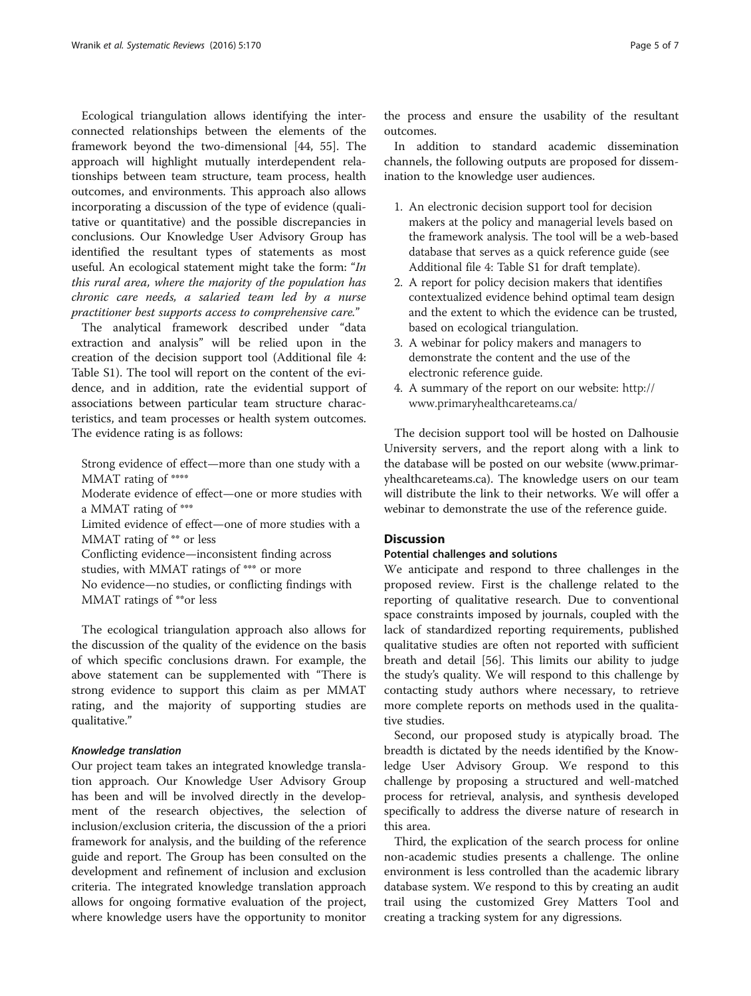Ecological triangulation allows identifying the interconnected relationships between the elements of the framework beyond the two-dimensional [\[44](#page-6-0), [55\]](#page-6-0). The approach will highlight mutually interdependent relationships between team structure, team process, health outcomes, and environments. This approach also allows incorporating a discussion of the type of evidence (qualitative or quantitative) and the possible discrepancies in conclusions. Our Knowledge User Advisory Group has identified the resultant types of statements as most useful. An ecological statement might take the form: "In this rural area, where the majority of the population has chronic care needs, a salaried team led by a nurse practitioner best supports access to comprehensive care."

The analytical framework described under "data extraction and analysis" will be relied upon in the creation of the decision support tool (Additional file [4](#page-5-0): Table S1). The tool will report on the content of the evidence, and in addition, rate the evidential support of associations between particular team structure characteristics, and team processes or health system outcomes. The evidence rating is as follows:

Strong evidence of effect—more than one study with a MMAT rating of \*\*\*\*

Moderate evidence of effect—one or more studies with a MMAT rating of \*\*\*

Limited evidence of effect—one of more studies with a MMAT rating of \*\* or less

Conflicting evidence—inconsistent finding across

studies, with MMAT ratings of \*\*\* or more

No evidence—no studies, or conflicting findings with MMAT ratings of \*\*or less

The ecological triangulation approach also allows for the discussion of the quality of the evidence on the basis of which specific conclusions drawn. For example, the above statement can be supplemented with "There is strong evidence to support this claim as per MMAT rating, and the majority of supporting studies are qualitative."

#### Knowledge translation

Our project team takes an integrated knowledge translation approach. Our Knowledge User Advisory Group has been and will be involved directly in the development of the research objectives, the selection of inclusion/exclusion criteria, the discussion of the a priori framework for analysis, and the building of the reference guide and report. The Group has been consulted on the development and refinement of inclusion and exclusion criteria. The integrated knowledge translation approach allows for ongoing formative evaluation of the project, where knowledge users have the opportunity to monitor the process and ensure the usability of the resultant outcomes.

In addition to standard academic dissemination channels, the following outputs are proposed for dissemination to the knowledge user audiences.

- 1. An electronic decision support tool for decision makers at the policy and managerial levels based on the framework analysis. The tool will be a web-based database that serves as a quick reference guide (see Additional file [4](#page-5-0): Table S1 for draft template).
- 2. A report for policy decision makers that identifies contextualized evidence behind optimal team design and the extent to which the evidence can be trusted, based on ecological triangulation.
- 3. A webinar for policy makers and managers to demonstrate the content and the use of the electronic reference guide.
- 4. A summary of the report on our website: [http://](http://www.primaryhealthcareteams.ca/) [www.primaryhealthcareteams.ca/](http://www.primaryhealthcareteams.ca/)

The decision support tool will be hosted on Dalhousie University servers, and the report along with a link to the database will be posted on our website ([www.primar](http://www.primaryhealthcareteams.ca/)[yhealthcareteams.ca\)](http://www.primaryhealthcareteams.ca/). The knowledge users on our team will distribute the link to their networks. We will offer a webinar to demonstrate the use of the reference guide.

#### **Discussion**

#### Potential challenges and solutions

We anticipate and respond to three challenges in the proposed review. First is the challenge related to the reporting of qualitative research. Due to conventional space constraints imposed by journals, coupled with the lack of standardized reporting requirements, published qualitative studies are often not reported with sufficient breath and detail [\[56](#page-6-0)]. This limits our ability to judge the study's quality. We will respond to this challenge by contacting study authors where necessary, to retrieve more complete reports on methods used in the qualitative studies.

Second, our proposed study is atypically broad. The breadth is dictated by the needs identified by the Knowledge User Advisory Group. We respond to this challenge by proposing a structured and well-matched process for retrieval, analysis, and synthesis developed specifically to address the diverse nature of research in this area.

Third, the explication of the search process for online non-academic studies presents a challenge. The online environment is less controlled than the academic library database system. We respond to this by creating an audit trail using the customized Grey Matters Tool and creating a tracking system for any digressions.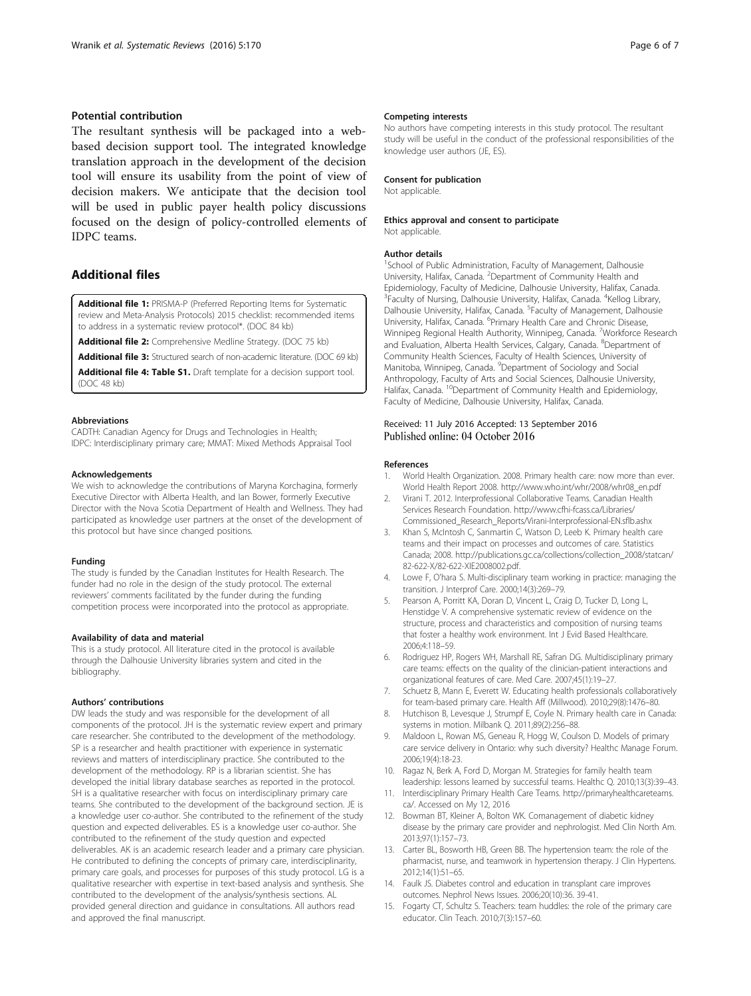#### <span id="page-5-0"></span>Potential contribution

The resultant synthesis will be packaged into a webbased decision support tool. The integrated knowledge translation approach in the development of the decision tool will ensure its usability from the point of view of decision makers. We anticipate that the decision tool will be used in public payer health policy discussions focused on the design of policy-controlled elements of IDPC teams.

#### Additional files

[Additional file 1:](dx.doi.org/10.1186/s13643-016-0339-9) PRISMA-P (Preferred Reporting Items for Systematic review and Meta-Analysis Protocols) 2015 checklist: recommended items to address in a systematic review protocol\*. (DOC 84 kb)

[Additional file 2:](dx.doi.org/10.1186/s13643-016-0339-9) Comprehensive Medline Strategy. (DOC 75 kb)

[Additional file 3:](dx.doi.org/10.1186/s13643-016-0339-9) Structured search of non-academic literature. (DOC 69 kb)

[Additional file 4: Table S1.](dx.doi.org/10.1186/s13643-016-0339-9) Draft template for a decision support tool. (DOC 48 kb)

#### Abbreviations

CADTH: Canadian Agency for Drugs and Technologies in Health; IDPC: Interdisciplinary primary care; MMAT: Mixed Methods Appraisal Tool

#### Acknowledgements

We wish to acknowledge the contributions of Maryna Korchagina, formerly Executive Director with Alberta Health, and Ian Bower, formerly Executive Director with the Nova Scotia Department of Health and Wellness. They had participated as knowledge user partners at the onset of the development of this protocol but have since changed positions.

#### Funding

The study is funded by the Canadian Institutes for Health Research. The funder had no role in the design of the study protocol. The external reviewers' comments facilitated by the funder during the funding competition process were incorporated into the protocol as appropriate.

#### Availability of data and material

This is a study protocol. All literature cited in the protocol is available through the Dalhousie University libraries system and cited in the bibliography.

#### Authors' contributions

DW leads the study and was responsible for the development of all components of the protocol. JH is the systematic review expert and primary care researcher. She contributed to the development of the methodology. SP is a researcher and health practitioner with experience in systematic reviews and matters of interdisciplinary practice. She contributed to the development of the methodology. RP is a librarian scientist. She has developed the initial library database searches as reported in the protocol. SH is a qualitative researcher with focus on interdisciplinary primary care teams. She contributed to the development of the background section. JE is a knowledge user co-author. She contributed to the refinement of the study question and expected deliverables. ES is a knowledge user co-author. She contributed to the refinement of the study question and expected deliverables. AK is an academic research leader and a primary care physician. He contributed to defining the concepts of primary care, interdisciplinarity, primary care goals, and processes for purposes of this study protocol. LG is a qualitative researcher with expertise in text-based analysis and synthesis. She contributed to the development of the analysis/synthesis sections. AL provided general direction and guidance in consultations. All authors read and approved the final manuscript.

#### Competing interests

No authors have competing interests in this study protocol. The resultant study will be useful in the conduct of the professional responsibilities of the knowledge user authors (JE, ES).

#### Consent for publication

Not applicable.

#### Ethics approval and consent to participate

Not applicable.

#### Author details

<sup>1</sup>School of Public Administration, Faculty of Management, Dalhousie University, Halifax, Canada. <sup>2</sup>Department of Community Health and Epidemiology, Faculty of Medicine, Dalhousie University, Halifax, Canada. <sup>3</sup> Faculty of Nursing, Dalhousie University, Halifax, Canada. <sup>4</sup>Kellog Library Dalhousie University, Halifax, Canada. <sup>5</sup> Faculty of Management, Dalhousie University, Halifax, Canada. <sup>6</sup>Primary Health Care and Chronic Disease, Winnipeg Regional Health Authority, Winnipeg, Canada. <sup>7</sup>Workforce Research and Evaluation, Alberta Health Services, Calgary, Canada. <sup>8</sup>Department of Community Health Sciences, Faculty of Health Sciences, University of Manitoba, Winnipeg, Canada. <sup>9</sup>Department of Sociology and Social Anthropology, Faculty of Arts and Social Sciences, Dalhousie University, Halifax, Canada. <sup>10</sup>Department of Community Health and Epidemiology, Faculty of Medicine, Dalhousie University, Halifax, Canada.

# Received: 11 July 2016 Accepted: 13 September 2016<br>Published online: 04 October 2016

#### References

- 1. World Health Organization. 2008. Primary health care: now more than ever. World Health Report 2008. [http://www.who.int/whr/2008/whr08\\_en.pdf](http://www.who.int/whr/2008/whr08_en.pdf)
- 2. Virani T. 2012. Interprofessional Collaborative Teams. Canadian Health Services Research Foundation. [http://www.cfhi-fcass.ca/Libraries/](http://www.cfhi-fcass.ca/Libraries/Commissioned_Research_Reports/Virani-Interprofessional-EN.sflb.ashx) [Commissioned\\_Research\\_Reports/Virani-Interprofessional-EN.sflb.ashx](http://www.cfhi-fcass.ca/Libraries/Commissioned_Research_Reports/Virani-Interprofessional-EN.sflb.ashx)
- 3. Khan S, McIntosh C, Sanmartin C, Watson D, Leeb K. Primary health care teams and their impact on processes and outcomes of care. Statistics Canada; 2008. [http://publications.gc.ca/collections/collection\\_2008/statcan/](http://publications.gc.ca/collections/collection_2008/statcan/82-622-X/82-622-XIE2008002.pdf) [82-622-X/82-622-XIE2008002.pdf.](http://publications.gc.ca/collections/collection_2008/statcan/82-622-X/82-622-XIE2008002.pdf)
- 4. Lowe F, O'hara S. Multi-disciplinary team working in practice: managing the transition. J Interprof Care. 2000;14(3):269–79.
- 5. Pearson A, Porritt KA, Doran D, Vincent L, Craig D, Tucker D, Long L, Henstidge V. A comprehensive systematic review of evidence on the structure, process and characteristics and composition of nursing teams that foster a healthy work environment. Int J Evid Based Healthcare. 2006;4:118–59.
- 6. Rodriguez HP, Rogers WH, Marshall RE, Safran DG. Multidisciplinary primary care teams: effects on the quality of the clinician-patient interactions and organizational features of care. Med Care. 2007;45(1):19–27.
- 7. Schuetz B, Mann E, Everett W. Educating health professionals collaboratively for team-based primary care. Health Aff (Millwood). 2010;29(8):1476–80.
- 8. Hutchison B, Levesque J, Strumpf E, Coyle N. Primary health care in Canada: systems in motion. Milbank Q. 2011;89(2):256–88.
- 9. Maldoon L, Rowan MS, Geneau R, Hogg W, Coulson D. Models of primary care service delivery in Ontario: why such diversity? Healthc Manage Forum. 2006;19(4):18-23.
- 10. Ragaz N, Berk A, Ford D, Morgan M. Strategies for family health team leadership: lessons learned by successful teams. Healthc Q. 2010;13(3):39–43.
- 11. Interdisciplinary Primary Health Care Teams. [http://primaryhealthcareteams.](http://primaryhealthcareteams.ca/) [ca/](http://primaryhealthcareteams.ca/). Accessed on My 12, 2016
- 12. Bowman BT, Kleiner A, Bolton WK. Comanagement of diabetic kidney disease by the primary care provider and nephrologist. Med Clin North Am. 2013;97(1):157–73.
- 13. Carter BL, Bosworth HB, Green BB. The hypertension team: the role of the pharmacist, nurse, and teamwork in hypertension therapy. J Clin Hypertens. 2012;14(1):51–65.
- 14. Faulk JS. Diabetes control and education in transplant care improves outcomes. Nephrol News Issues. 2006;20(10):36. 39-41.
- 15. Fogarty CT, Schultz S. Teachers: team huddles: the role of the primary care educator. Clin Teach. 2010;7(3):157–60.